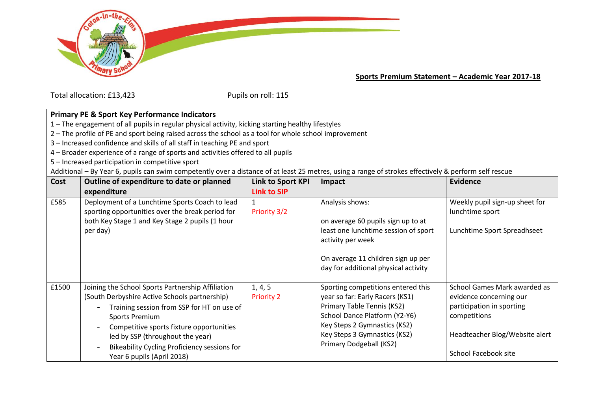

**Sports Premium Statement – Academic Year 2017-18**

Total allocation: £13,423 Pupils on roll: 115

## **Primary PE & Sport Key Performance Indicators**

1 – The engagement of all pupils in regular physical activity, kicking starting healthy lifestyles

- 2 The profile of PE and sport being raised across the school as a tool for whole school improvement
- 3 Increased confidence and skills of all staff in teaching PE and sport
- 4 Broader experience of a range of sports and activities offered to all pupils
- 5 Increased participation in competitive sport

Additional – By Year 6, pupils can swim competently over a distance of at least 25 metres, using a range of strokes effectively & perform self rescue

| Cost  | Outline of expenditure to date or planned<br>expenditure                                                                                                                                                                                                                                                                         | <b>Link to Sport KPI</b><br><b>Link to SIP</b> | Impact                                                                                                                                                                                                                          | <b>Evidence</b>                                                                                                                                                |
|-------|----------------------------------------------------------------------------------------------------------------------------------------------------------------------------------------------------------------------------------------------------------------------------------------------------------------------------------|------------------------------------------------|---------------------------------------------------------------------------------------------------------------------------------------------------------------------------------------------------------------------------------|----------------------------------------------------------------------------------------------------------------------------------------------------------------|
| £585  | Deployment of a Lunchtime Sports Coach to lead<br>sporting opportunities over the break period for<br>both Key Stage 1 and Key Stage 2 pupils (1 hour<br>per day)                                                                                                                                                                | 1<br>Priority 3/2                              | Analysis shows:<br>on average 60 pupils sign up to at<br>least one lunchtime session of sport<br>activity per week<br>On average 11 children sign up per<br>day for additional physical activity                                | Weekly pupil sign-up sheet for<br>lunchtime sport<br>Lunchtime Sport Spreadhseet                                                                               |
| £1500 | Joining the School Sports Partnership Affiliation<br>(South Derbyshire Active Schools partnership)<br>Training session from SSP for HT on use of<br>Sports Premium<br>Competitive sports fixture opportunities<br>led by SSP (throughout the year)<br>Bikeability Cycling Proficiency sessions for<br>Year 6 pupils (April 2018) | 1, 4, 5<br><b>Priority 2</b>                   | Sporting competitions entered this<br>year so far: Early Racers (KS1)<br>Primary Table Tennis (KS2)<br>School Dance Platform (Y2-Y6)<br>Key Steps 2 Gymnastics (KS2)<br>Key Steps 3 Gymnastics (KS2)<br>Primary Dodgeball (KS2) | School Games Mark awarded as<br>evidence concerning our<br>participation in sporting<br>competitions<br>Headteacher Blog/Website alert<br>School Facebook site |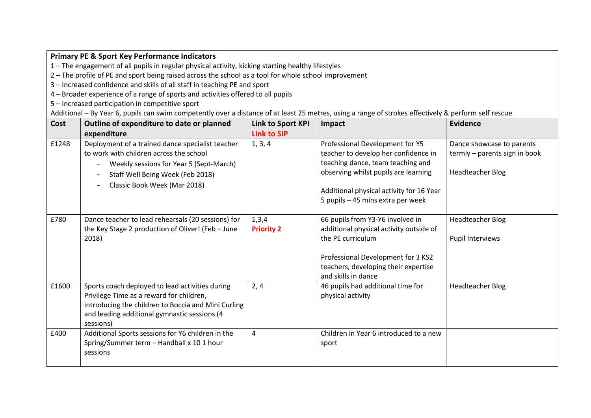## **Primary PE & Sport Key Performance Indicators**

1 – The engagement of all pupils in regular physical activity, kicking starting healthy lifestyles

2 – The profile of PE and sport being raised across the school as a tool for whole school improvement

3 – Increased confidence and skills of all staff in teaching PE and sport

4 – Broader experience of a range of sports and activities offered to all pupils

5 – Increased participation in competitive sport

Additional – By Year 6, pupils can swim competently over a distance of at least 25 metres, using a range of strokes effectively & perform self rescue

| Cost  | Outline of expenditure to date or planned<br>expenditure                                                                                                                                                        | Link to Sport KPI<br><b>Link to SIP</b> | Impact                                                                                                                                                                                                                                | <b>Evidence</b>                                                                |
|-------|-----------------------------------------------------------------------------------------------------------------------------------------------------------------------------------------------------------------|-----------------------------------------|---------------------------------------------------------------------------------------------------------------------------------------------------------------------------------------------------------------------------------------|--------------------------------------------------------------------------------|
| £1248 | Deployment of a trained dance specialist teacher<br>to work with children across the school<br>Weekly sessions for Year 5 (Sept-March)<br>Staff Well Being Week (Feb 2018)<br>Classic Book Week (Mar 2018)      | 1, 3, 4                                 | Professional Development for Y5<br>teacher to develop her confidence in<br>teaching dance, team teaching and<br>observing whilst pupils are learning<br>Additional physical activity for 16 Year<br>5 pupils - 45 mins extra per week | Dance showcase to parents<br>termly - parents sign in book<br>Headteacher Blog |
| £780  | Dance teacher to lead rehearsals (20 sessions) for<br>the Key Stage 2 production of Oliver! (Feb - June<br>2018)                                                                                                | 1,3,4<br><b>Priority 2</b>              | 66 pupils from Y3-Y6 involved in<br>additional physical activity outside of<br>the PE curriculum<br>Professional Development for 3 KS2<br>teachers, developing their expertise<br>and skills in dance                                 | <b>Headteacher Blog</b><br>Pupil Interviews                                    |
| £1600 | Sports coach deployed to lead activities during<br>Privilege Time as a reward for children,<br>introducing the children to Boccia and Mini Curling<br>and leading additional gymnastic sessions (4<br>sessions) | 2, 4                                    | 46 pupils had additional time for<br>physical activity                                                                                                                                                                                | <b>Headteacher Blog</b>                                                        |
| £400  | Additional Sports sessions for Y6 children in the<br>Spring/Summer term - Handball x 10 1 hour<br>sessions                                                                                                      | 4                                       | Children in Year 6 introduced to a new<br>sport                                                                                                                                                                                       |                                                                                |